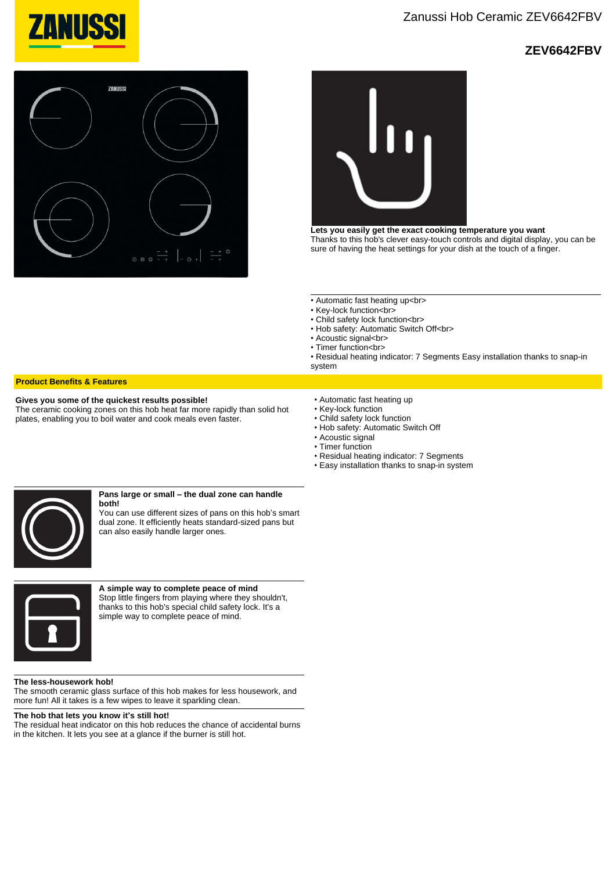

# **ZEV6642FBV**





**Lets you easily get the exact cooking temperature you want** Thanks to this hob's clever easy-touch controls and digital display, you can be sure of having the heat settings for your dish at the touch of a finger.

- Automatic fast heating up<br>
- Key-lock function<br>
- Child safety lock function<br>
- Hob safety: Automatic Switch Off<br>
- Acoustic signal<br>
- Timer function<br>

• Residual heating indicator: 7 Segments Easy installation thanks to snap-in system

## **Product Benefits & Features**

#### **Gives you some of the quickest results possible!**

The ceramic cooking zones on this hob heat far more rapidly than solid hot plates, enabling you to boil water and cook meals even faster.

- Automatic fast heating up • Key-lock function
- Child safety lock function
- Hob safety: Automatic Switch Off
- Acoustic signal
- Timer function
- Residual heating indicator: 7 Segments
- Easy installation thanks to snap-in system



#### **Pans large or small – the dual zone can handle both!**

You can use different sizes of pans on this hob's smart dual zone. It efficiently heats standard-sized pans but can also easily handle larger ones.



**A simple way to complete peace of mind** Stop little fingers from playing where they shouldn't, thanks to this hob's special child safety lock. It's a simple way to complete peace of mind.

#### **The less-housework hob!**

The smooth ceramic glass surface of this hob makes for less housework, and more fun! All it takes is a few wipes to leave it sparkling clean.

### **The hob that lets you know it's still hot!**

The residual heat indicator on this hob reduces the chance of accidental burns in the kitchen. It lets you see at a glance if the burner is still hot.